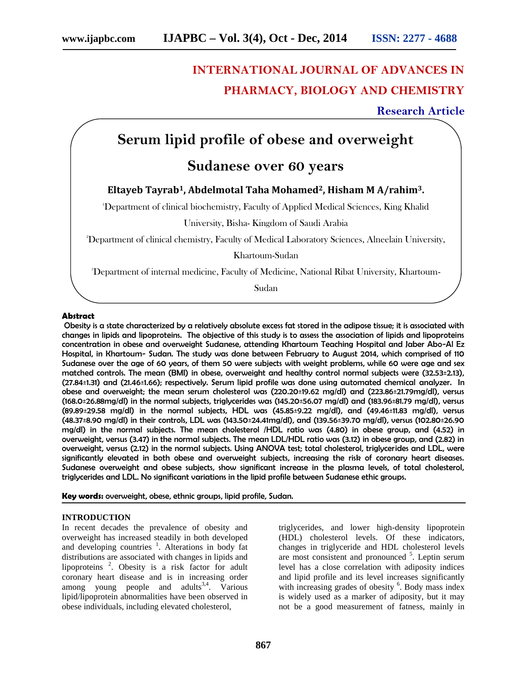# **INTERNATIONAL JOURNAL OF ADVANCES IN PHARMACY, BIOLOGY AND CHEMISTRY**

### **Research Article**

# **Serum lipid profile of obese and overweight**

## **Sudanese over 60 years**

### **Eltayeb Tayrab1, Abdelmotal Taha Mohamed2, Hisham M A/rahim3.**

<sup>1</sup>Department of clinical biochemistry, Faculty of Applied Medical Sciences, King Khalid

University, Bisha- Kingdom of Saudi Arabia

<sup>2</sup>Department of clinical chemistry, Faculty of Medical Laboratory Sciences, Alneelain University,

Khartoum-Sudan

<sup>3</sup>Department of internal medicine, Faculty of Medicine, National Ribat University, Khartoum-

Sudan

#### **Abstract**

Obesity is a state characterized by a relatively absolute excess fat stored in the adipose tissue; it is associated with changes in lipids and lipoproteins. The objective of this study is to assess the association of lipids and lipoproteins concentration in obese and overweight Sudanese, attending Khartoum Teaching Hospital and Jaber Abo-Al Ez Hospital, in Khartoum- Sudan. The study was done between February to August 2014, which comprised of 110 Sudanese over the age of 60 years, of them 50 were subjects with weight problems, while 60 were age and sex matched controls. The mean (BMI) in obese, overweight and healthy control normal subjects were (32.53±2.13), (27.84±1.31) and (21.46±1.66); respectively. Serum lipid profile was done using automated chemical analyzer. In obese and overweight; the mean serum cholesterol was (220.20±19.62 mg/dl) and (223.86±21.79mg/dl), versus (168.0±26.88mg/dl) in the normal subjects, triglycerides was (145.20±56.07 mg/dl) and (183.96±81.79 mg/dl), versus (89.89±29.58 mg/dl) in the normal subjects, HDL was (45.85±9.22 mg/dl), and (49.46±11.83 mg/dl), versus (48.37±8.90 mg/dl) in their controls, LDL was (143.50±24.41mg/dl), and (139.56±39.70 mg/dl), versus (102.80±26.90 mg/dl) in the normal subjects. The mean cholesterol /HDL ratio was (4.80) in obese group, and (4.52) in overweight, versus (3.47) in the normal subjects. The mean LDL/HDL ratio was (3.12) in obese group, and (2.82) in overweight, versus (2.12) in the normal subjects. Using ANOVA test; total cholesterol, triglycerides and LDL, were significantly elevated in both obese and overweight subjects, increasing the risk of coronary heart diseases. Sudanese overweight and obese subjects, show significant increase in the plasma levels, of total cholesterol, triglycerides and LDL. No significant variations in the lipid profile between Sudanese ethic groups.

**Key words:** overweight, obese, ethnic groups, lipid profile, Sudan.

#### **INTRODUCTION**

In recent decades the prevalence of obesity and overweight has increased steadily in both developed and developing countries <sup>1</sup>. Alterations in body fat distributions are associated with changes in lipids and lipoproteins <sup>2</sup>. Obesity is a risk factor for adult coronary heart disease and is in increasing order among young people and adults<sup>3,4</sup>. Various lipid/lipoprotein abnormalities have been observed in obese individuals, including elevated cholesterol,

triglycerides, and lower high-density lipoprotein (HDL) cholesterol levels. Of these indicators, changes in triglyceride and HDL cholesterol levels are most consistent and pronounced <sup>5</sup>. Leptin serum level has a close correlation with adiposity indices and lipid profile and its level increases significantly with increasing grades of obesity <sup>6</sup>. Body mass index is widely used as a marker of adiposity, but it may not be a good measurement of fatness, mainly in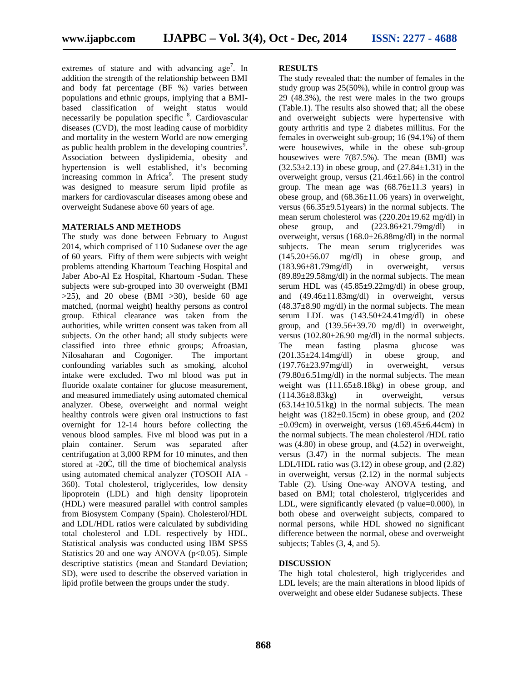extremes of stature and with advancing  $age<sup>7</sup>$ . In addition the strength of the relationship between BMI and body fat percentage (BF %) varies between populations and ethnic groups, implying that a BMI based classification of weight status would necessarily be population specific <sup>8</sup>. Cardiovascular diseases (CVD), the most leading cause of morbidity and mortality in the western World are now emerging as public health problem in the developing countries<sup>9</sup>. Association between dyslipidemia, obesity and hypertension is well established, it's becoming increasing common in Africa<sup>9</sup>. The present study was designed to measure serum lipid profile as markers for cardiovascular diseases among obese and overweight Sudanese above 60 years of age.

#### **MATERIALS AND METHODS**

The study was done between February to August 2014, which comprised of 110 Sudanese over the age of 60 years. Fifty of them were subjects with weight problems attending Khartoum Teaching Hospital and Jaber Abo-Al Ez Hospital, Khartoum -Sudan. These subjects were sub-grouped into 30 overweight (BMI  $>25$ ), and 20 obese (BMI  $>30$ ), beside 60 age matched, (normal weight) healthy persons as control group. Ethical clearance was taken from the authorities, while written consent was taken from all subjects. On the other hand; all study subjects were classified into three ethnic groups; Afroasian, Nilosaharan and Cogoniger. The important confounding variables such as smoking, alcohol intake were excluded. Two ml blood was put in fluoride oxalate container for glucose measurement, and measured immediately using automated chemical analyzer. Obese, overweight and normal weight healthy controls were given oral instructions to fast overnight for 12-14 hours before collecting the venous blood samples. Five ml blood was put in a plain container. Serum was separated after centrifugation at 3,000 RPM for 10 minutes, and then stored at -20, till the time of biochemical analysis using automated chemical analyzer (TOSOH AIA - 360). Total cholesterol, triglycerides, low density lipoprotein (LDL) and high density lipoprotein (HDL) were measured parallel with control samples from Biosystem Company (Spain). Cholesterol/HDL and LDL/HDL ratios were calculated by subdividing total cholesterol and LDL respectively by HDL. Statistical analysis was conducted using IBM SPSS Statistics 20 and one way ANOVA ( $p<0.05$ ). Simple descriptive statistics (mean and Standard Deviation; SD), were used to describe the observed variation in lipid profile between the groups under the study.

#### **RESULTS**

The study revealed that: the number of females in the study group was 25(50%), while in control group was 29 (48.3%), the rest were males in the two groups (Table.1). The results also showed that; all the obese and overweight subjects were hypertensive with gouty arthritis and type 2 diabetes millitus. For the females in overweight sub-group; 16 (94.1%) of them were housewives, while in the obese sub-group housewives were 7(87.5%). The mean (BMI) was  $(32.53\pm2.13)$  in obese group, and  $(27.84\pm1.31)$  in the overweight group, versus  $(21.46\pm1.66)$  in the control group. The mean age was  $(68.76 \pm 11.3 \text{ years})$  in obese group, and  $(68.36 \pm 11.06 \text{ years})$  in overweight, versus  $(66.35\pm9.51)$  vears) in the normal subjects. The mean serum cholesterol was (220.20±19.62 mg/dl) in obese group, and (223.86±21.79mg/dl) in overweight, versus (168.0±26.88mg/dl) in the normal subjects. The mean serum triglycerides was<br> $(145.20 \pm 56.07 \text{ mg/dl})$  in obese group, and  $(145.20 \pm 56.07 \text{ mg/dl})$  in obese group, and (183.96±81.79mg/dl) in overweight, versus  $(89.89 \pm 29.58 \text{mg/dl})$  in the normal subjects. The mean serum HDL was  $(45.85 \pm 9.22 \text{mg/dl})$  in obese group, and (49.46±11.83mg/dl) in overweight, versus  $(48.37\pm8.90 \text{ mg/dl})$  in the normal subjects. The mean serum LDL was  $(143.50 \pm 24.41 \text{mg/dl})$  in obese group, and  $(139.56 \pm 39.70 \text{ mg/dl})$  in overweight, versus (102.80±26.90 mg/dl) in the normal subjects. The mean fasting plasma glucose was (201.35±24.14mg/dl) in obese group, and (197.76±23.97mg/dl) in overweight, versus  $(79.80 \pm 6.51 \text{mg/dl})$  in the normal subjects. The mean weight was  $(111.65\pm8.18\text{kg})$  in obese group, and (114.36±8.83kg) in overweight, versus  $(63.14 \pm 10.51 \text{kg})$  in the normal subjects. The mean height was  $(182\pm0.15cm)$  in obese group, and  $(202$  $\pm 0.09$ cm) in overweight, versus (169.45 $\pm 6.44$ cm) in the normal subjects. The mean cholesterol /HDL ratio was (4.80) in obese group, and (4.52) in overweight, versus (3.47) in the normal subjects. The mean LDL/HDL ratio was (3.12) in obese group, and (2.82) in overweight, versus (2.12) in the normal subjects Table (2). Using One-way ANOVA testing, and based on BMI; total cholesterol, triglycerides and LDL, were significantly elevated (p value=0.000), in both obese and overweight subjects, compared to normal persons, while HDL showed no significant difference between the normal, obese and overweight subjects; Tables (3, 4, and 5).

#### **DISCUSSION**

The high total cholesterol, high triglycerides and LDL levels; are the main alterations in blood lipids of overweight and obese elder Sudanese subjects. These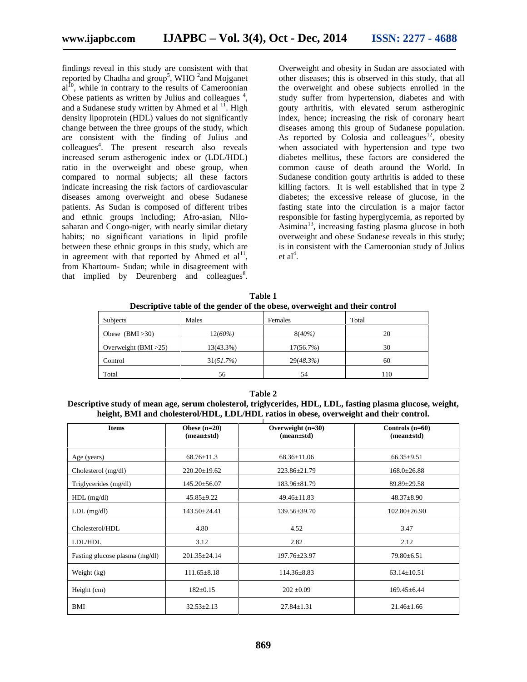findings reveal in this study are consistent with that reported by Chadha and group<sup>5</sup>, WHO <sup>2</sup>and Mojganet  $al<sup>10</sup>$ , while in contrary to the results of Cameroonian Obese patients as written by Julius and colleagues<sup>4</sup>, and a Sudanese study written by Ahmed et al  $^{11}$ . High density lipoprotein (HDL) values do not significantly change between the three groups of the study, which are consistent with the finding of Julius and colleagues<sup>4</sup>. The present research also reveals increased serum astherogenic index or (LDL/HDL) ratio in the overweight and obese group, when compared to normal subjects; all these factors indicate increasing the risk factors of cardiovascular diseases among overweight and obese Sudanese patients. As Sudan is composed of different tribes and ethnic groups including; Afro-asian, Nilo saharan and Congo-niger, with nearly similar dietary habits; no significant variations in lipid profile between these ethnic groups in this study, which are in agreement with that reported by Ahmed et  $al<sup>11</sup>$ , from Khartoum- Sudan; while in disagreement with that implied by Deurenberg and colleagues ${}^{8}$ .

Overweight and obesity in Sudan are associated with other diseases; this is observed in this study, that all the overweight and obese subjects enrolled in the study suffer from hypertension, diabetes and with gouty arthritis, with elevated serum astheroginic index, hence; increasing the risk of coronary heart diseases among this group of Sudanese population. As reported by Colosia and colleagues<sup>12</sup>, obesity when associated with hypertension and type two diabetes mellitus, these factors are considered the common cause of death around the World. In Sudanese condition gouty arthritis is added to these killing factors. It is well established that in type 2 diabetes; the excessive release of glucose, in the fasting state into the circulation is a major factor responsible for fasting hyperglycemia, as reported by Asimina<sup>13</sup>, increasing fasting plasma glucose in both overweight and obese Sudanese reveals in this study; is in consistent with the Cameroonian study of Julius  $et al<sup>4</sup>.$ 

**Table 1 Descriptive table of the gender of the obese, overweight and their control**

| Subjects                | Males     | Females   | Total |
|-------------------------|-----------|-----------|-------|
| Obese $(BMI > 30)$      | 12(60%)   | $8(40\%)$ | 20    |
| Overweight $(BMI > 25)$ | 13(43.3%) | 17(56.7%) | 30    |
| Control                 | 31(51.7%) | 29(48.3%) | 60    |
| Total                   | 56        | 54        | 110   |

#### **Table 2**

**Descriptive study of mean age, serum cholesterol, triglycerides, HDL, LDL, fasting plasma glucose, weight, height, BMI and cholesterol/HDL, LDL/HDL ratios in obese, overweight and their control.**

| <b>Items</b>                   | Obese $(n=20)$<br>$(mean \pm std)$ | Overweight $(n=30)$<br>$(mean \pm std)$ | Controls $(n=60)$<br>$(mean \pm std)$ |
|--------------------------------|------------------------------------|-----------------------------------------|---------------------------------------|
| Age (years)                    | $68.76 \pm 11.3$                   | $68.36 \pm 11.06$                       | $66.35 \pm 9.51$                      |
| Cholesterol (mg/dl)            | $220.20 \pm 19.62$                 | 223.86±21.79                            | $168.0 \pm 26.88$                     |
| Triglycerides (mg/dl)          | $145.20 \pm 56.07$                 | $183.96 \pm 81.79$                      | $89.89 \pm 29.58$                     |
| $HDL$ (mg/dl)                  | $45.85 \pm 9.22$                   | $49.46 \pm 11.83$                       | $48.37 \pm 8.90$                      |
| $LDL$ (mg/dl)                  | $143.50 \pm 24.41$                 | $139.56 \pm 39.70$                      | $102.80 \pm 26.90$                    |
| Cholesterol/HDL                | 4.80                               | 4.52                                    | 3.47                                  |
| LDL/HDL                        | 3.12                               | 2.82                                    | 2.12                                  |
| Fasting glucose plasma (mg/dl) | $201.35 \pm 24.14$                 | $197.76 \pm 23.97$                      | $79.80 \pm 6.51$                      |
| Weight (kg)                    | $111.65 \pm 8.18$                  | $114.36 \pm 8.83$                       | $63.14 \pm 10.51$                     |
| Height (cm)                    | $182 \pm 0.15$                     | $202 \pm 0.09$                          | $169.45 \pm 6.44$                     |
| BMI                            | $32.53 + 2.13$                     | $27.84 + 1.31$                          | $21.46 + 1.66$                        |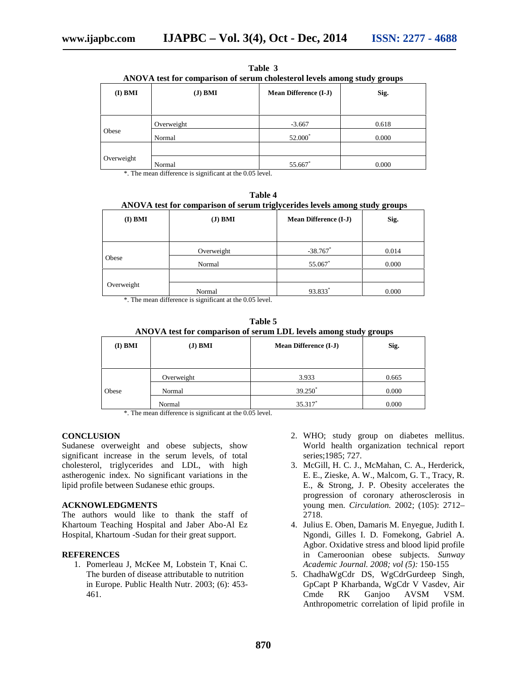| ANOVA test for comparison of serum cholesterol levels among study groups |            |                              |       |
|--------------------------------------------------------------------------|------------|------------------------------|-------|
| $(I)$ BMI                                                                | $(J)$ BMI  | <b>Mean Difference (I-J)</b> | Sig.  |
|                                                                          | Overweight | $-3.667$                     | 0.618 |
| Obese                                                                    | Normal     | 52.000*                      | 0.000 |
| Overweight                                                               | Normal     | 55.667                       | 0.000 |

**Table 3 ANOVA test for comparison of serum cholesterol levels among study groups**

\*. The mean difference is significant at the 0.05 level.

| *****<br>ANOVA test for comparison of serum triglycerides levels among study groups |            |                              |       |
|-------------------------------------------------------------------------------------|------------|------------------------------|-------|
| $(I)$ BMI                                                                           | $J)$ BMI   | <b>Mean Difference (I-J)</b> | Sig.  |
|                                                                                     | Overweight | $-38.767$ *                  | 0.014 |
| Obese                                                                               | Normal     | 55.067*                      | 0.000 |
| Overweight                                                                          | Normal     | 93.833                       | 0.000 |

**Table 4**

\*. The mean difference is significant at the 0.05 level.

| ANOVA test for comparison of serum LDL levels among study groups |  |
|------------------------------------------------------------------|--|

| $(I)$ BMI | $J)$ BMI   | <b>Mean Difference (I-J)</b> | Sig.  |
|-----------|------------|------------------------------|-------|
|           |            |                              |       |
|           | Overweight | 3.933                        | 0.665 |
| Obese     | Normal     | 39.250 <sup>*</sup>          | 0.000 |
|           | Normal     | 35.317*                      | 0.000 |

\*. The mean difference is significant at the 0.05 level.

#### **CONCLUSION**

Sudanese overweight and obese subjects, show significant increase in the serum levels, of total cholesterol, triglycerides and LDL, with high astherogenic index. No significant variations in the lipid profile between Sudanese ethic groups.

#### **ACKNOWLEDGMENTS**

The authors would like to thank the staff of Khartoum Teaching Hospital and Jaber Abo-Al Ez Hospital, Khartoum -Sudan for their great support.

#### **REFERENCES**

1. Pomerleau J, McKee M, Lobstein T, Knai C. The burden of disease attributable to nutrition in Europe. Public Health Nutr. 2003; (6): 453- 461.

- 2. WHO; study group on diabetes mellitus. World health organization technical report series;1985; 727.
- 3. McGill, H. C. J., McMahan, C. A., Herderick, E. E., Zieske, A. W., Malcom, G. T., Tracy, R. E., & Strong, J. P. Obesity accelerates the progression of coronary atherosclerosis in young men. *Circulation.* 2002; (105): 2712– 2718.
- 4. Julius E. Oben, Damaris M. Enyegue, Judith I. Ngondi, Gilles I. D. Fomekong, Gabriel A. Agbor. Oxidative stress and blood lipid profile in Cameroonian obese subjects. *Sunway Academic Journal. 2008; vol (5):* 150-155
- 5. ChadhaWgCdr DS, WgCdrGurdeep Singh, GpCapt P Kharbanda, WgCdr V Vasdev, Air Cmde RK Ganjoo AVSM VSM. Anthropometric correlation of lipid profile in